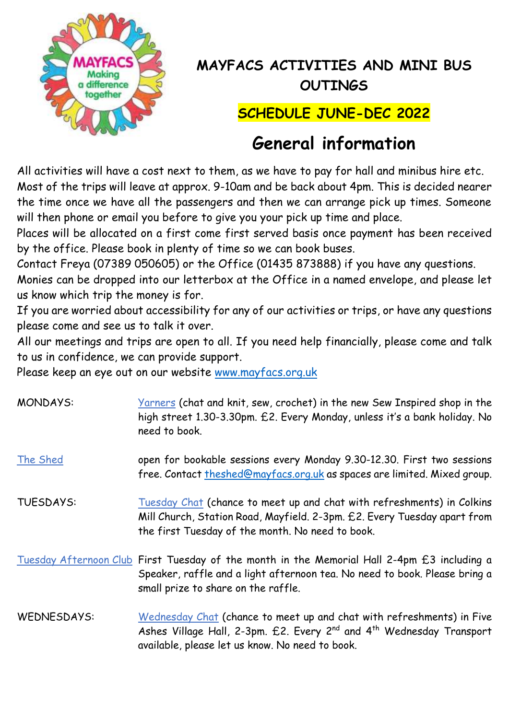

## **MAYFACS ACTIVITIES AND MINI BUS OUTINGS**

## **SCHEDULE JUNE-DEC 2022**

## **General information**

All activities will have a cost next to them, as we have to pay for hall and minibus hire etc. Most of the trips will leave at approx. 9-10am and be back about 4pm. This is decided nearer the time once we have all the passengers and then we can arrange pick up times. Someone will then phone or email you before to give you your pick up time and place.

Places will be allocated on a first come first served basis once payment has been received by the office. Please book in plenty of time so we can book buses.

Contact Freya (07389 050605) or the Office (01435 873888) if you have any questions.

Monies can be dropped into our letterbox at the Office in a named envelope, and please let us know which trip the money is for.

If you are worried about accessibility for any of our activities or trips, or have any questions please come and see us to talk it over.

All our meetings and trips are open to all. If you need help financially, please come and talk to us in confidence, we can provide support.

Please keep an eye out on our website [www.mayfacs.org.uk](http://www.mayfacs.org.uk/)

| <b>MONDAYS:</b>  | Varners (chat and knit, sew, crochet) in the new Sew Inspired shop in the<br>high street 1.30-3.30pm. £2. Every Monday, unless it's a bank holiday. No<br>need to book.                                                  |
|------------------|--------------------------------------------------------------------------------------------------------------------------------------------------------------------------------------------------------------------------|
| The Shed         | open for bookable sessions every Monday 9.30-12.30. First two sessions<br>free. Contact theshed@mayfacs.org.uk as spaces are limited. Mixed group.                                                                       |
| <b>TUESDAYS:</b> | Tuesday Chat (chance to meet up and chat with refreshments) in Colkins<br>Mill Church, Station Road, Mayfield. 2-3pm. £2. Every Tuesday apart from<br>the first Tuesday of the month. No need to book.                   |
|                  | Tuesday Afternoon Club First Tuesday of the month in the Memorial Hall 2-4pm £3 including a<br>Speaker, raffle and a light afternoon tea. No need to book. Please bring a<br>small prize to share on the raffle.         |
| WEDNESDAYS:      | Wednesday Chat (chance to meet up and chat with refreshments) in Five<br>Ashes Village Hall, 2-3pm. £2. Every 2 <sup>nd</sup> and 4 <sup>th</sup> Wednesday Transport<br>available, please let us know. No need to book. |